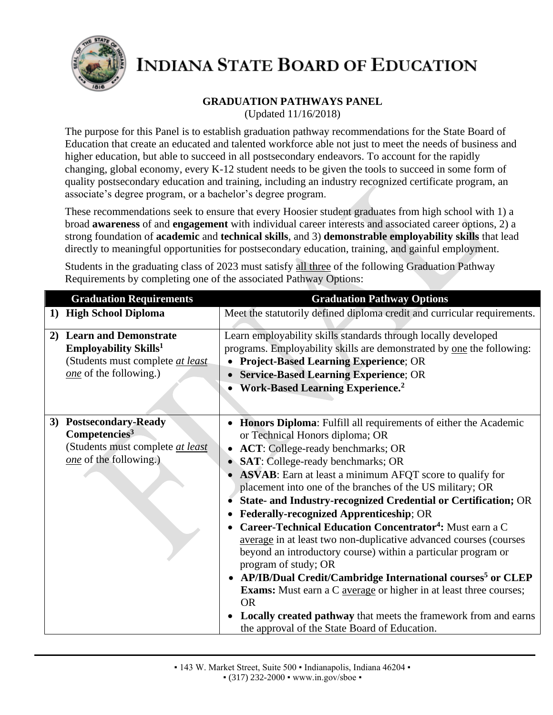

## **GRADUATION PATHWAYS PANEL**

(Updated 11/16/2018)

The purpose for this Panel is to establish graduation pathway recommendations for the State Board of Education that create an educated and talented workforce able not just to meet the needs of business and higher education, but able to succeed in all postsecondary endeavors. To account for the rapidly changing, global economy, every K-12 student needs to be given the tools to succeed in some form of quality postsecondary education and training, including an industry recognized certificate program, an associate's degree program, or a bachelor's degree program.

These recommendations seek to ensure that every Hoosier student graduates from high school with 1) a broad **awareness** of and **engagement** with individual career interests and associated career options, 2) a strong foundation of **academic** and **technical skills**, and 3) **demonstrable employability skills** that lead directly to meaningful opportunities for postsecondary education, training, and gainful employment.

Students in the graduating class of 2023 must satisfy all three of the following Graduation Pathway Requirements by completing one of the associated Pathway Options:

| <b>Graduation Requirements</b>                                                                                                     | <b>Graduation Pathway Options</b>                                                                                                                                                                                                                                                                                                                                                                                                                                                                                                                                                                                                                                                                                                                                                                                                                                                                                                                                                                 |
|------------------------------------------------------------------------------------------------------------------------------------|---------------------------------------------------------------------------------------------------------------------------------------------------------------------------------------------------------------------------------------------------------------------------------------------------------------------------------------------------------------------------------------------------------------------------------------------------------------------------------------------------------------------------------------------------------------------------------------------------------------------------------------------------------------------------------------------------------------------------------------------------------------------------------------------------------------------------------------------------------------------------------------------------------------------------------------------------------------------------------------------------|
| 1) High School Diploma                                                                                                             | Meet the statutorily defined diploma credit and curricular requirements.                                                                                                                                                                                                                                                                                                                                                                                                                                                                                                                                                                                                                                                                                                                                                                                                                                                                                                                          |
| 2) Learn and Demonstrate<br><b>Employability Skills</b> <sup>1</sup><br>(Students must complete at least<br>one of the following.) | Learn employability skills standards through locally developed<br>programs. Employability skills are demonstrated by one the following:<br><b>Project-Based Learning Experience; OR</b><br><b>Service-Based Learning Experience; OR</b><br><b>Work-Based Learning Experience.</b> <sup>2</sup>                                                                                                                                                                                                                                                                                                                                                                                                                                                                                                                                                                                                                                                                                                    |
| 3) Postsecondary-Ready<br>Competencies <sup>3</sup><br>(Students must complete at least<br>one of the following.)                  | Honors Diploma: Fulfill all requirements of either the Academic<br>or Technical Honors diploma; OR<br><b>ACT:</b> College-ready benchmarks; OR<br><b>SAT:</b> College-ready benchmarks; OR<br><b>ASVAB</b> : Earn at least a minimum AFQT score to qualify for<br>placement into one of the branches of the US military; OR<br>State- and Industry-recognized Credential or Certification; OR<br><b>Federally-recognized Apprenticeship; OR</b><br>Career-Technical Education Concentrator <sup>4</sup> : Must earn a C<br>average in at least two non-duplicative advanced courses (courses<br>beyond an introductory course) within a particular program or<br>program of study; OR<br>AP/IB/Dual Credit/Cambridge International courses <sup>5</sup> or CLEP<br><b>Exams:</b> Must earn a C <b><u>average</u></b> or higher in at least three courses;<br><b>OR</b><br><b>Locally created pathway</b> that meets the framework from and earns<br>the approval of the State Board of Education. |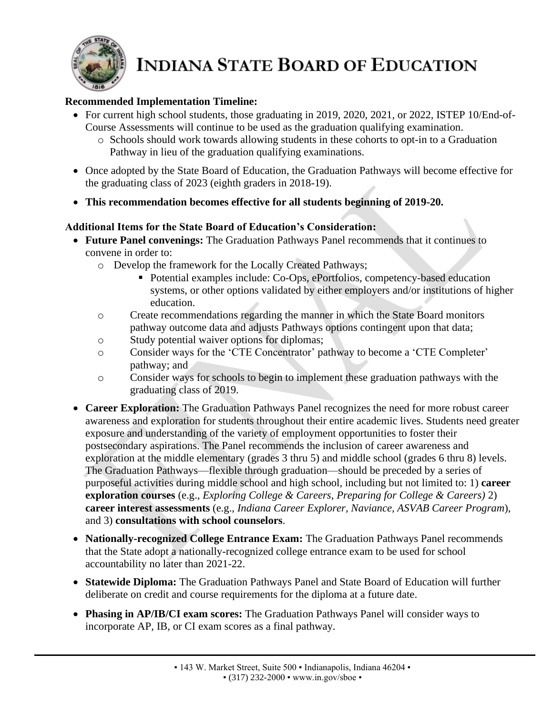

#### **Recommended Implementation Timeline:**

- For current high school students, those graduating in 2019, 2020, 2021, or 2022, ISTEP 10/End-of-Course Assessments will continue to be used as the graduation qualifying examination.
	- o Schools should work towards allowing students in these cohorts to opt-in to a Graduation Pathway in lieu of the graduation qualifying examinations.
- Once adopted by the State Board of Education, the Graduation Pathways will become effective for the graduating class of 2023 (eighth graders in 2018-19).
- **This recommendation becomes effective for all students beginning of 2019-20.**

#### **Additional Items for the State Board of Education's Consideration:**

- **Future Panel convenings:** The Graduation Pathways Panel recommends that it continues to convene in order to:
	- o Develop the framework for the Locally Created Pathways;
		- Potential examples include: Co-Ops, ePortfolios, competency-based education systems, or other options validated by either employers and/or institutions of higher education.
	- o Create recommendations regarding the manner in which the State Board monitors pathway outcome data and adjusts Pathways options contingent upon that data;
	- o Study potential waiver options for diplomas;
	- o Consider ways for the 'CTE Concentrator' pathway to become a 'CTE Completer' pathway; and
	- o Consider ways for schools to begin to implement these graduation pathways with the graduating class of 2019.
- **Career Exploration:** The Graduation Pathways Panel recognizes the need for more robust career awareness and exploration for students throughout their entire academic lives. Students need greater exposure and understanding of the variety of employment opportunities to foster their postsecondary aspirations. The Panel recommends the inclusion of career awareness and exploration at the middle elementary (grades 3 thru 5) and middle school (grades 6 thru 8) levels. The Graduation Pathways—flexible through graduation—should be preceded by a series of purposeful activities during middle school and high school, including but not limited to: 1) **career exploration courses** (e.g., *Exploring College & Careers*, *Preparing for College & Careers)* 2) **career interest assessments** (e.g., *Indiana Career Explorer, Naviance, ASVAB Career Program*), and 3) **consultations with school counselors**.
- **Nationally-recognized College Entrance Exam:** The Graduation Pathways Panel recommends that the State adopt a nationally-recognized college entrance exam to be used for school accountability no later than 2021-22.
- **Statewide Diploma:** The Graduation Pathways Panel and State Board of Education will further deliberate on credit and course requirements for the diploma at a future date.
- **Phasing in AP/IB/CI exam scores:** The Graduation Pathways Panel will consider ways to incorporate AP, IB, or CI exam scores as a final pathway.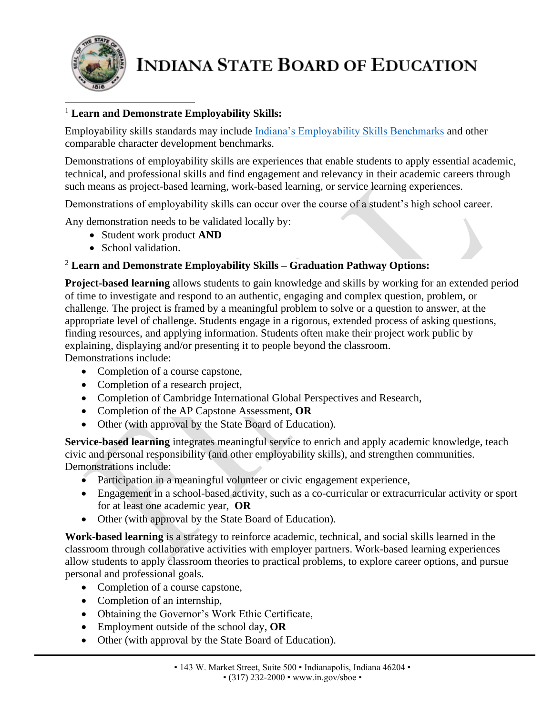

### <sup>1</sup> **Learn and Demonstrate Employability Skills:**

Employability skills standards may include [Indiana's Employability Skills Benchmarks](http://www.in.gov/dwd/files/IN_Employability_Skills.pdf) and other comparable character development benchmarks.

Demonstrations of employability skills are experiences that enable students to apply essential academic, technical, and professional skills and find engagement and relevancy in their academic careers through such means as project-based learning, work-based learning, or service learning experiences.

Demonstrations of employability skills can occur over the course of a student's high school career.

Any demonstration needs to be validated locally by:

- Student work product **AND**
- School validation.

## <sup>2</sup> **Learn and Demonstrate Employability Skills – Graduation Pathway Options:**

**Project-based learning** allows students to gain knowledge and skills by working for an extended period of time to investigate and respond to an authentic, engaging and complex question, problem, or challenge. The project is framed by a meaningful problem to solve or a question to answer, at the appropriate level of challenge. Students engage in a rigorous, extended process of asking questions, finding resources, and applying information. Students often make their project work public by explaining, displaying and/or presenting it to people beyond the classroom. Demonstrations include:

- Completion of a course capstone,
- Completion of a research project,
- Completion of Cambridge International Global Perspectives and Research,
- Completion of the AP Capstone Assessment, **OR**
- Other (with approval by the State Board of Education).

**Service-based learning** integrates meaningful service to enrich and apply academic knowledge, teach civic and personal responsibility (and other employability skills), and strengthen communities. Demonstrations include:

- Participation in a meaningful volunteer or civic engagement experience,
- Engagement in a school-based activity, such as a co-curricular or extracurricular activity or sport for at least one academic year, **OR**
- Other (with approval by the State Board of Education).

**Work-based learning** is a strategy to reinforce academic, technical, and social skills learned in the classroom through collaborative activities with employer partners. Work-based learning experiences allow students to apply classroom theories to practical problems, to explore career options, and pursue personal and professional goals.

- Completion of a course capstone,
- Completion of an internship,
- Obtaining the Governor's Work Ethic Certificate,
- Employment outside of the school day, **OR**
- Other (with approval by the State Board of Education).